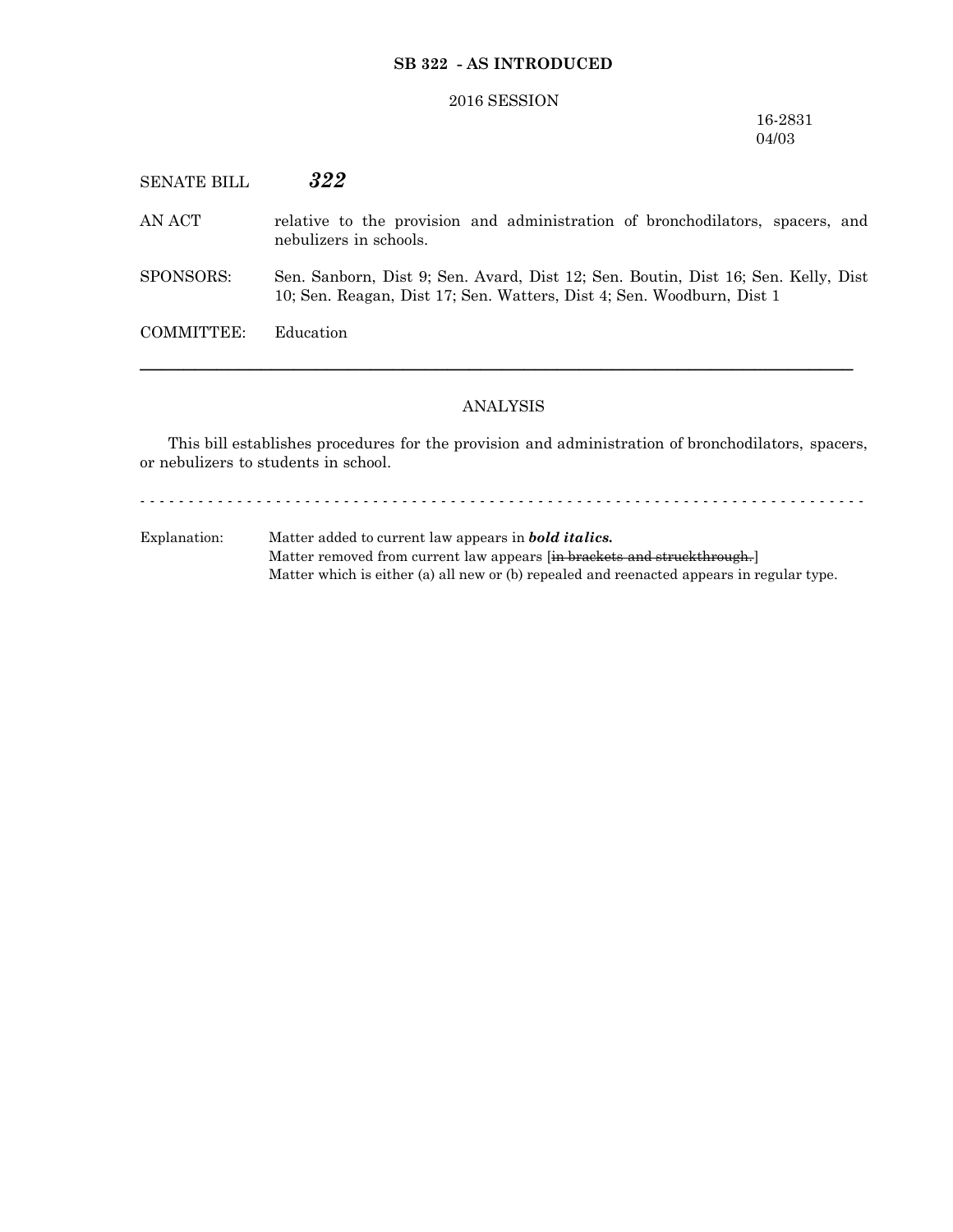## **SB 322 - AS INTRODUCED**

#### 2016 SESSION

### 16-2831 04/03

SENATE BILL *322* AN ACT relative to the provision and administration of bronchodilators, spacers, and nebulizers in schools. SPONSORS: Sen. Sanborn, Dist 9; Sen. Avard, Dist 12; Sen. Boutin, Dist 16; Sen. Kelly, Dist 10; Sen. Reagan, Dist 17; Sen. Watters, Dist 4; Sen. Woodburn, Dist 1 COMMITTEE: Education

# ANALYSIS

─────────────────────────────────────────────────────────────────

This bill establishes procedures for the provision and administration of bronchodilators, spacers, or nebulizers to students in school.

- - - - - - - - - - - - - - - - - - - - - - - - - - - - - - - - - - - - - - - - - - - - - - - - - - - - - - - - - - - - - - - - - - - - - - - - - - -

Explanation: Matter added to current law appears in *bold italics.* Matter removed from current law appears [in brackets and struckthrough.] Matter which is either (a) all new or (b) repealed and reenacted appears in regular type.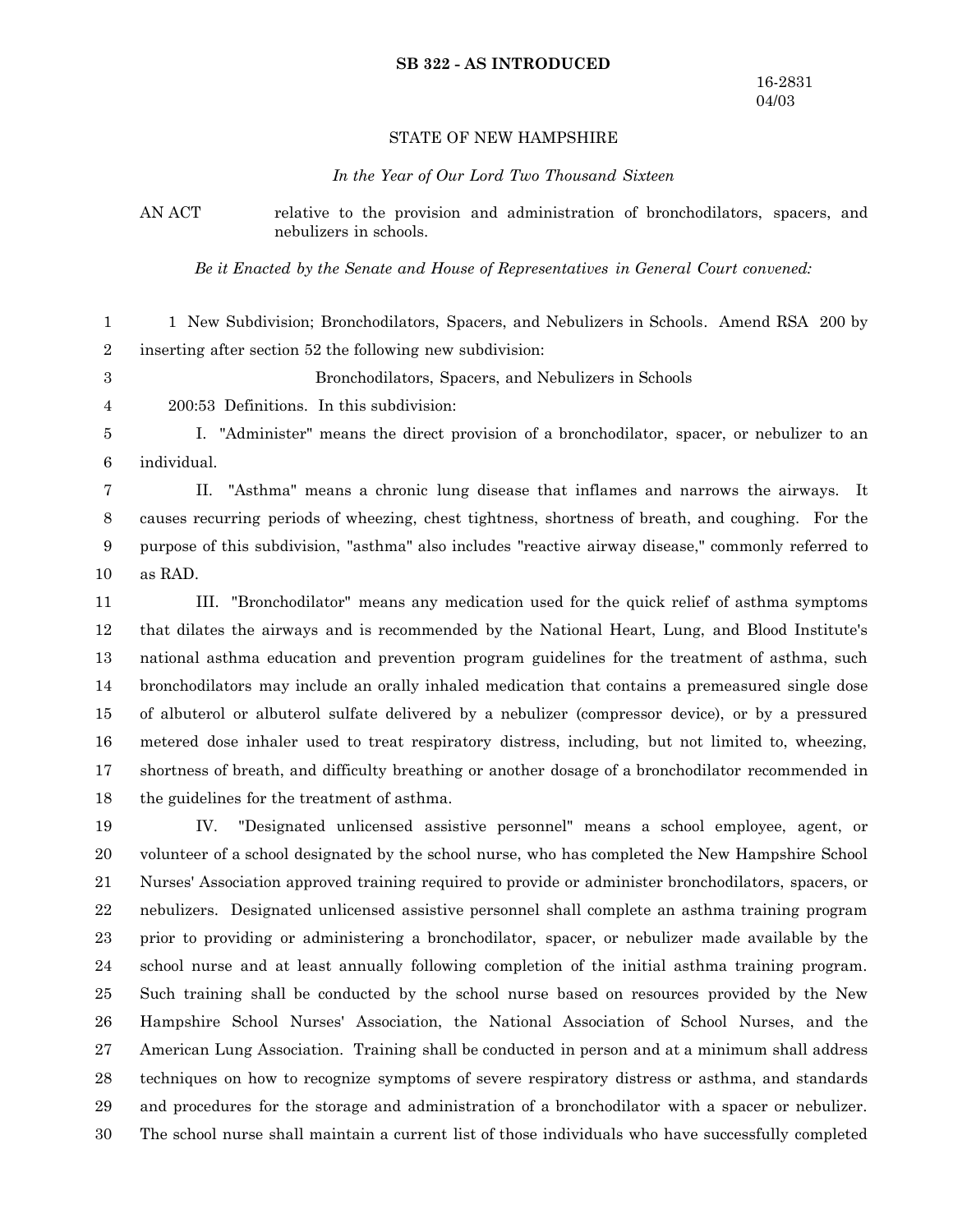#### **SB 322 - AS INTRODUCED**

## STATE OF NEW HAMPSHIRE

*In the Year of Our Lord Two Thousand Sixteen*

AN ACT relative to the provision and administration of bronchodilators, spacers, and nebulizers in schools.

*Be it Enacted by the Senate and House of Representatives in General Court convened:*

1 New Subdivision; Bronchodilators, Spacers, and Nebulizers in Schools. Amend RSA 200 by inserting after section 52 the following new subdivision: 1 2

Bronchodilators, Spacers, and Nebulizers in Schools

3 4

200:53 Definitions. In this subdivision:

I. "Administer" means the direct provision of a bronchodilator, spacer, or nebulizer to an individual. 5 6

II. "Asthma" means a chronic lung disease that inflames and narrows the airways. It causes recurring periods of wheezing, chest tightness, shortness of breath, and coughing. For the purpose of this subdivision, "asthma" also includes "reactive airway disease," commonly referred to as RAD. 7 8 9 10

III. "Bronchodilator" means any medication used for the quick relief of asthma symptoms that dilates the airways and is recommended by the National Heart, Lung, and Blood Institute's national asthma education and prevention program guidelines for the treatment of asthma, such bronchodilators may include an orally inhaled medication that contains a premeasured single dose of albuterol or albuterol sulfate delivered by a nebulizer (compressor device), or by a pressured metered dose inhaler used to treat respiratory distress, including, but not limited to, wheezing, shortness of breath, and difficulty breathing or another dosage of a bronchodilator recommended in the guidelines for the treatment of asthma. 11 12 13 14 15 16 17 18

IV. "Designated unlicensed assistive personnel" means a school employee, agent, or volunteer of a school designated by the school nurse, who has completed the New Hampshire School Nurses' Association approved training required to provide or administer bronchodilators, spacers, or nebulizers. Designated unlicensed assistive personnel shall complete an asthma training program prior to providing or administering a bronchodilator, spacer, or nebulizer made available by the school nurse and at least annually following completion of the initial asthma training program. Such training shall be conducted by the school nurse based on resources provided by the New Hampshire School Nurses' Association, the National Association of School Nurses, and the American Lung Association. Training shall be conducted in person and at a minimum shall address techniques on how to recognize symptoms of severe respiratory distress or asthma, and standards and procedures for the storage and administration of a bronchodilator with a spacer or nebulizer. The school nurse shall maintain a current list of those individuals who have successfully completed 19 20 21 22 23 24 25 26 27 28 29 30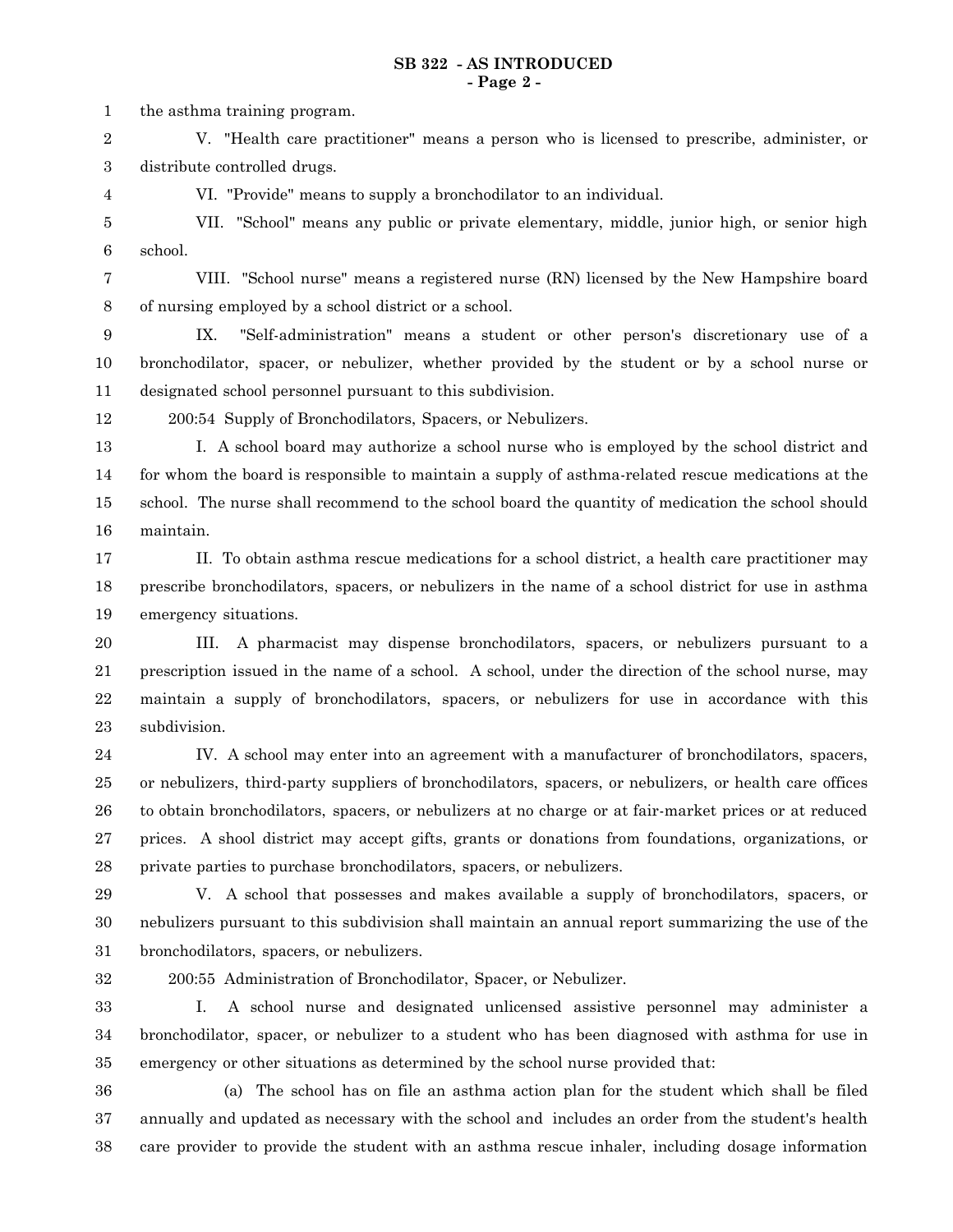the asthma training program. 1

V. "Health care practitioner" means a person who is licensed to prescribe, administer, or distribute controlled drugs. 2 3

4

VI. "Provide" means to supply a bronchodilator to an individual.

VII. "School" means any public or private elementary, middle, junior high, or senior high school. 5 6

VIII. "School nurse" means a registered nurse (RN) licensed by the New Hampshire board of nursing employed by a school district or a school. 7 8

IX. "Self-administration" means a student or other person's discretionary use of a bronchodilator, spacer, or nebulizer, whether provided by the student or by a school nurse or designated school personnel pursuant to this subdivision. 9 10 11

12

200:54 Supply of Bronchodilators, Spacers, or Nebulizers.

I. A school board may authorize a school nurse who is employed by the school district and for whom the board is responsible to maintain a supply of asthma-related rescue medications at the school. The nurse shall recommend to the school board the quantity of medication the school should maintain. 13 14 15 16

II. To obtain asthma rescue medications for a school district, a health care practitioner may prescribe bronchodilators, spacers, or nebulizers in the name of a school district for use in asthma emergency situations. 17 18 19

III. A pharmacist may dispense bronchodilators, spacers, or nebulizers pursuant to a prescription issued in the name of a school. A school, under the direction of the school nurse, may maintain a supply of bronchodilators, spacers, or nebulizers for use in accordance with this subdivision. 20 21 22 23

IV. A school may enter into an agreement with a manufacturer of bronchodilators, spacers, or nebulizers, third-party suppliers of bronchodilators, spacers, or nebulizers, or health care offices to obtain bronchodilators, spacers, or nebulizers at no charge or at fair-market prices or at reduced prices. A shool district may accept gifts, grants or donations from foundations, organizations, or private parties to purchase bronchodilators, spacers, or nebulizers. 24 25 26 27 28

V. A school that possesses and makes available a supply of bronchodilators, spacers, or nebulizers pursuant to this subdivision shall maintain an annual report summarizing the use of the bronchodilators, spacers, or nebulizers. 29 30 31

32

200:55 Administration of Bronchodilator, Spacer, or Nebulizer.

I. A school nurse and designated unlicensed assistive personnel may administer a bronchodilator, spacer, or nebulizer to a student who has been diagnosed with asthma for use in emergency or other situations as determined by the school nurse provided that: 33 34 35

36

(a) The school has on file an asthma action plan for the student which shall be filed annually and updated as necessary with the school and includes an order from the student's health care provider to provide the student with an asthma rescue inhaler, including dosage information 37 38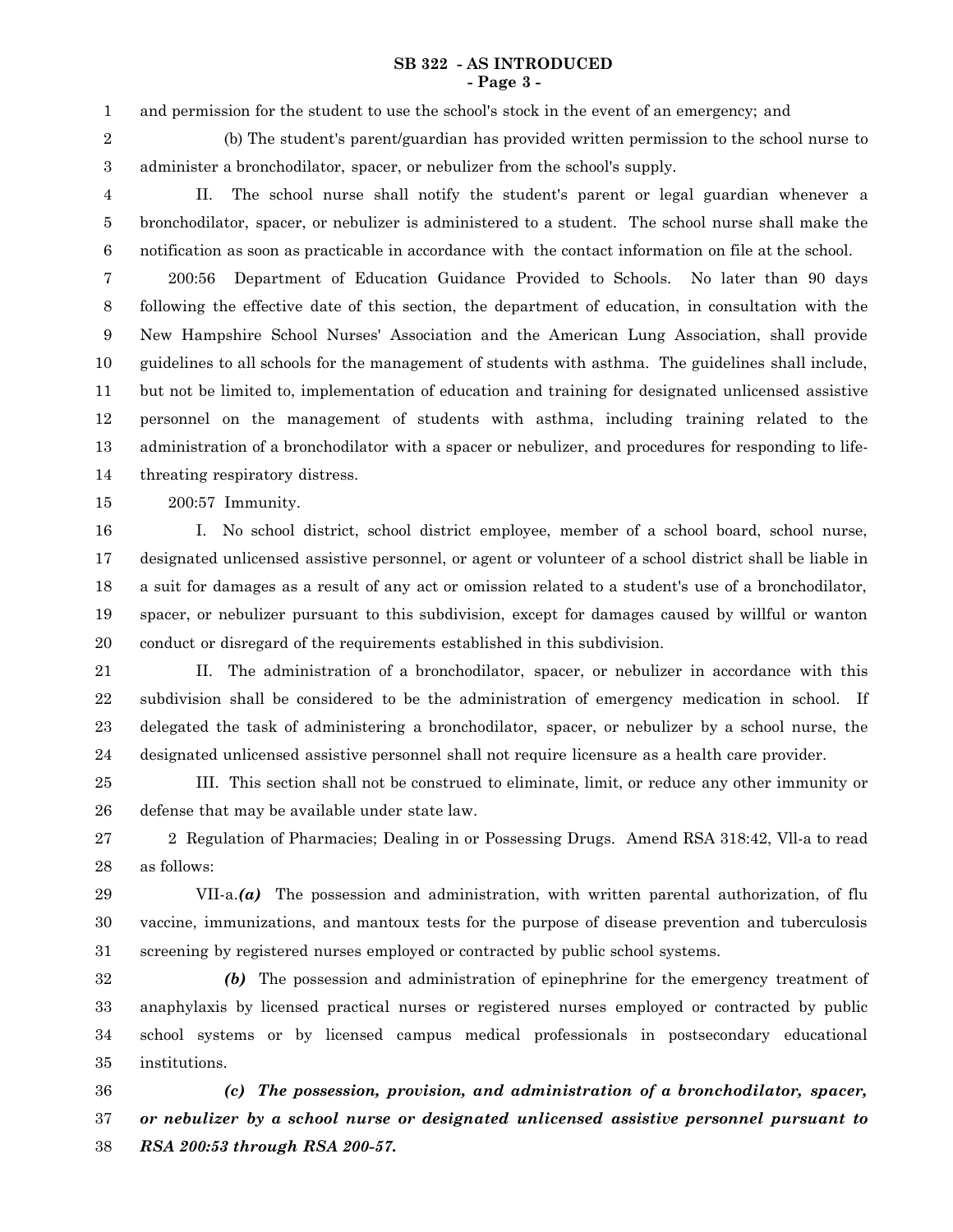#### **SB 322 - AS INTRODUCED - Page 3 -**

and permission for the student to use the school's stock in the event of an emergency; and 1

2

(b) The student's parent/guardian has provided written permission to the school nurse to administer a bronchodilator, spacer, or nebulizer from the school's supply.

3

II. The school nurse shall notify the student's parent or legal guardian whenever a bronchodilator, spacer, or nebulizer is administered to a student. The school nurse shall make the notification as soon as practicable in accordance with the contact information on file at the school. 4 5 6

200:56 Department of Education Guidance Provided to Schools. No later than 90 days following the effective date of this section, the department of education, in consultation with the New Hampshire School Nurses' Association and the American Lung Association, shall provide guidelines to all schools for the management of students with asthma. The guidelines shall include, but not be limited to, implementation of education and training for designated unlicensed assistive personnel on the management of students with asthma, including training related to the administration of a bronchodilator with a spacer or nebulizer, and procedures for responding to lifethreating respiratory distress. 7 8 9 10 11 12 13 14

200:57 Immunity. 15

I. No school district, school district employee, member of a school board, school nurse, designated unlicensed assistive personnel, or agent or volunteer of a school district shall be liable in a suit for damages as a result of any act or omission related to a student's use of a bronchodilator, spacer, or nebulizer pursuant to this subdivision, except for damages caused by willful or wanton conduct or disregard of the requirements established in this subdivision. 16 17 18 19 20

II. The administration of a bronchodilator, spacer, or nebulizer in accordance with this subdivision shall be considered to be the administration of emergency medication in school. If delegated the task of administering a bronchodilator, spacer, or nebulizer by a school nurse, the designated unlicensed assistive personnel shall not require licensure as a health care provider. 21 22 23 24

III. This section shall not be construed to eliminate, limit, or reduce any other immunity or defense that may be available under state law. 25 26

2 Regulation of Pharmacies; Dealing in or Possessing Drugs. Amend RSA 318:42, Vll-a to read as follows: 27 28

VII-a.*(a)* The possession and administration, with written parental authorization, of flu vaccine, immunizations, and mantoux tests for the purpose of disease prevention and tuberculosis screening by registered nurses employed or contracted by public school systems. 29 30 31

*(b)* The possession and administration of epinephrine for the emergency treatment of anaphylaxis by licensed practical nurses or registered nurses employed or contracted by public school systems or by licensed campus medical professionals in postsecondary educational institutions. 32 33 34 35

*(c) The possession, provision, and administration of a bronchodilator, spacer, or nebulizer by a school nurse or designated unlicensed assistive personnel pursuant to RSA 200:53 through RSA 200-57.* 36 37 38